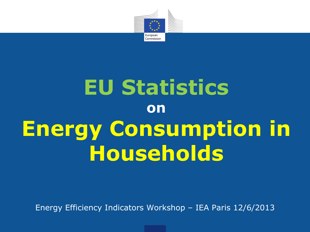

# **EU Statistics on Energy Consumption in Households**

Energy Efficiency Indicators Workshop – IEA Paris 12/6/2013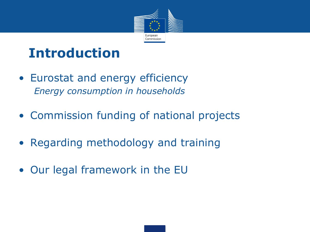

# **Introduction**

- Eurostat and energy efficiency *Energy consumption in households*
- Commission funding of national projects
- Regarding methodology and training
- Our legal framework in the EU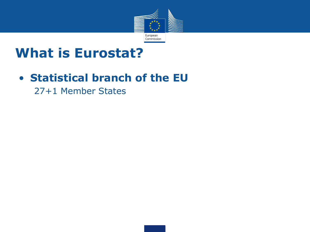

### **What is Eurostat?**

### • **Statistical branch of the EU**

27+1 Member States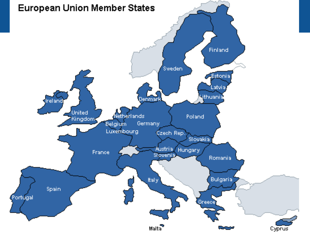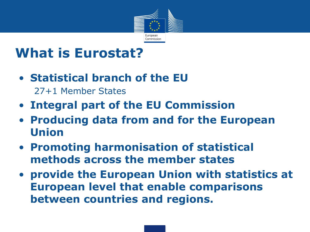

### **What is Eurostat?**

• **Statistical branch of the EU**

27+1 Member States

- **Integral part of the EU Commission**
- **Producing data from and for the European Union**
- **Promoting harmonisation of statistical methods across the member states**
- **provide the European Union with statistics at European level that enable comparisons between countries and regions.**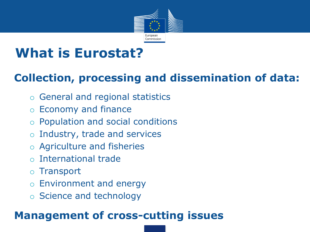

### **What is Eurostat?**

### **Collection, processing and dissemination of data:**

- o General and regional statistics
- o Economy and finance
- o Population and social conditions
- o Industry, trade and services
- o Agriculture and fisheries
- o International trade
- o Transport
- o Environment and energy
- o Science and technology

### **Management of cross-cutting issues**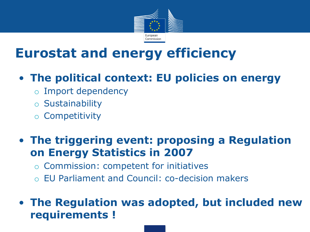

# **Eurostat and energy efficiency**

### • **The political context: EU policies on energy**

- o Import dependency
- o Sustainability
- o Competitivity

#### • **The triggering event: proposing a Regulation on Energy Statistics in 2007**

- o Commission: competent for initiatives
- o EU Parliament and Council: co-decision makers

#### • **The Regulation was adopted, but included new requirements !**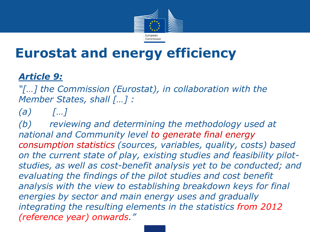

### **Eurostat and energy efficiency**

#### *Article 9:*

*"[…] the Commission (Eurostat), in collaboration with the Member States, shall […] :*

#### *(a) […]*

*(b) reviewing and determining the methodology used at national and Community level to generate final energy consumption statistics (sources, variables, quality, costs) based on the current state of play, existing studies and feasibility pilotstudies, as well as cost-benefit analysis yet to be conducted; and evaluating the findings of the pilot studies and cost benefit analysis with the view to establishing breakdown keys for final energies by sector and main energy uses and gradually integrating the resulting elements in the statistics from 2012 (reference year) onwards."*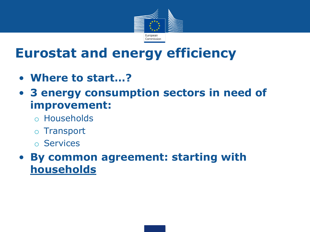

# **Eurostat and energy efficiency**

- **Where to start…?**
- **3 energy consumption sectors in need of improvement:**
	- o Households
	- o Transport
	- o Services
- **By common agreement: starting with households**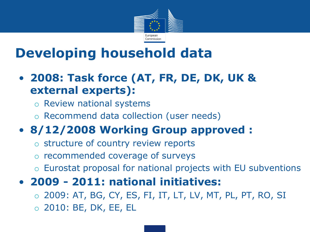

# **Developing household data**

- **2008: Task force (AT, FR, DE, DK, UK & external experts):**
	- o Review national systems
	- o Recommend data collection (user needs)

### • **8/12/2008 Working Group approved :**

- structure of country review reports
- o recommended coverage of surveys
- o Eurostat proposal for national projects with EU subventions
- **2009 - 2011: national initiatives:**
	- o 2009: AT, BG, CY, ES, FI, IT, LT, LV, MT, PL, PT, RO, SI
	- o 2010: BE, DK, EE, EL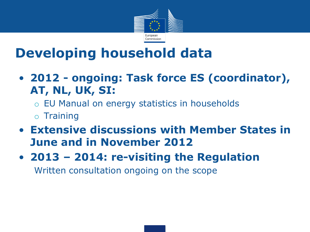

# **Developing household data**

- **2012 - ongoing: Task force ES (coordinator), AT, NL, UK, SI:**
	- o EU Manual on energy statistics in households
	- o Training
- **Extensive discussions with Member States in June and in November 2012**
- **2013 – 2014: re-visiting the Regulation**

Written consultation ongoing on the scope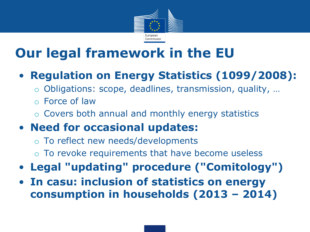

# **Our legal framework in the EU**

### • **Regulation on Energy Statistics (1099/2008):**

- Obligations: scope, deadlines, transmission, quality, ...
- o Force of law
- o Covers both annual and monthly energy statistics

### • **Need for occasional updates:**

- o To reflect new needs/developments
- o To revoke requirements that have become useless
- **Legal "updating" procedure ("Comitology")**
- **In casu: inclusion of statistics on energy consumption in households (2013 – 2014)**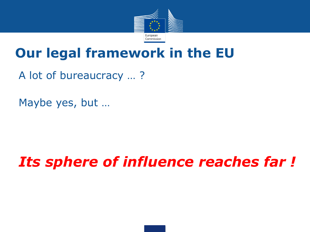

### **Our legal framework in the EU**

A lot of bureaucracy … ?

Maybe yes, but …

# *Its sphere of influence reaches far !*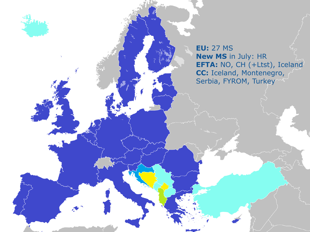**EU:** 27 MS **New MS** in July: HR **EFTA:** NO, CH (+Ltst), Iceland **CC:** Iceland, Montenegro, Serbia, FYROM, Turkey

내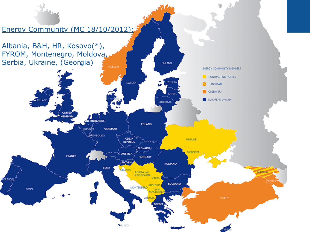